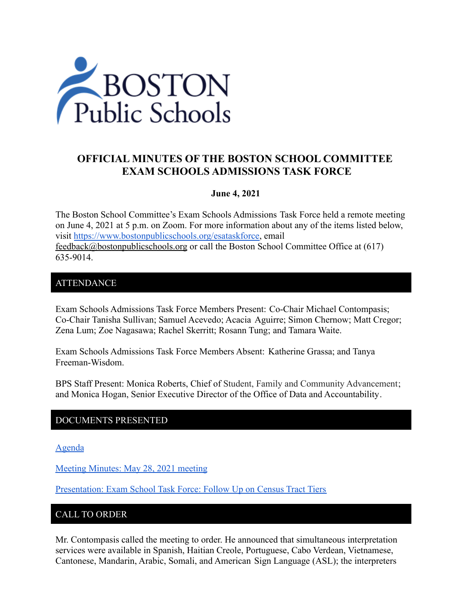

# **OFFICIAL MINUTES OF THE BOSTON SCHOOL COMMITTEE EXAM SCHOOLS ADMISSIONS TASK FORCE**

### **June 4, 2021**

The Boston School Committee's Exam Schools Admissions Task Force held a remote meeting on June 4, 2021 at 5 p.m. on Zoom. For more information about any of the items listed below, visit [https://www.bostonpublicschools.org/esataskforce,](https://www.bostonpublicschools.org/esataskforce) email [feedback@bostonpublicschools.org](mailto:feedback@bostonpublicschools.org) or call the Boston School Committee Office at (617) 635-9014.

### ATTENDANCE

Exam Schools Admissions Task Force Members Present: Co-Chair Michael Contompasis; Co-Chair Tanisha Sullivan; Samuel Acevedo; Acacia Aguirre; Simon Chernow; Matt Cregor; Zena Lum; Zoe Nagasawa; Rachel Skerritt; Rosann Tung; and Tamara Waite.

Exam Schools Admissions Task Force Members Absent: Katherine Grassa; and Tanya Freeman-Wisdom.

BPS Staff Present: Monica Roberts, Chief of Student, Family and Community Advancement; and Monica Hogan, Senior Executive Director of the Office of Data and Accountability.

# DOCUMENTS PRESENTED

[Agenda](https://www.boston.gov/public-notices/15753926)

[Meeting Minutes: May 28, 2021 meeting](https://www.bostonpublicschools.org/cms/lib/MA01906464/Centricity/Domain/2931/Minutes%205%2028%2021%20Exam%20School%20Admission%20TF%20Meeting.docx.pdf)

[Presentation: Exam School Task Force: Follow Up on](https://www.bostonpublicschools.org/cms/lib/MA01906464/Centricity/Domain/2931/Exam%20School%20Task%20Force%20%206%204%2021.pdf) Census Tract Tiers

# CALL TO ORDER

Mr. Contompasis called the meeting to order. He announced that simultaneous interpretation services were available in Spanish, Haitian Creole, Portuguese, Cabo Verdean, Vietnamese, Cantonese, Mandarin, Arabic, Somali, and American Sign Language (ASL); the interpreters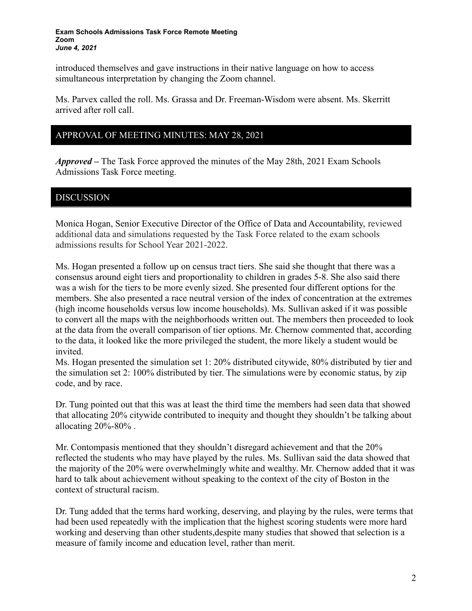introduced themselves and gave instructions in their native language on how to access simultaneous interpretation by changing the Zoom channel.

Ms. Parvex called the roll. Ms. Grassa and Dr. Freeman-Wisdom were absent. Ms. Skerritt arrived after roll call.

# APPROVAL OF MEETING MINUTES: MAY 28, 2021

*Approved –* The Task Force approved the minutes of the May 28th, 2021 Exam Schools Admissions Task Force meeting.

## DISCUSSION

Monica Hogan, Senior Executive Director of the Office of Data and Accountability, reviewed additional data and simulations requested by the Task Force related to the exam schools admissions results for School Year 2021-2022.

Ms. Hogan presented a follow up on census tract tiers. She said she thought that there was a consensus around eight tiers and proportionality to children in grades 5-8. She also said there was a wish for the tiers to be more evenly sized. She presented four different options for the members. She also presented a race neutral version of the index of concentration at the extremes (high income households versus low income households). Ms. Sullivan asked if it was possible to convert all the maps with the neighborhoods written out. The members then proceeded to look at the data from the overall comparison of tier options. Mr. Chernow commented that, according to the data, it looked like the more privileged the student, the more likely a student would be invited.

Ms. Hogan presented the simulation set 1: 20% distributed citywide, 80% distributed by tier and the simulation set 2: 100% distributed by tier. The simulations were by economic status, by zip code, and by race.

Dr. Tung pointed out that this was at least the third time the members had seen data that showed that allocating 20% citywide contributed to inequity and thought they shouldn't be talking about allocating  $20\% - 80\%$ .

Mr. Contompasis mentioned that they shouldn't disregard achievement and that the 20% reflected the students who may have played by the rules. Ms. Sullivan said the data showed that the majority of the 20% were overwhelmingly white and wealthy. Mr. Chernow added that it was hard to talk about achievement without speaking to the context of the city of Boston in the context of structural racism.

Dr. Tung added that the terms hard working, deserving, and playing by the rules, were terms that had been used repeatedly with the implication that the highest scoring students were more hard working and deserving than other students,despite many studies that showed that selection is a measure of family income and education level, rather than merit.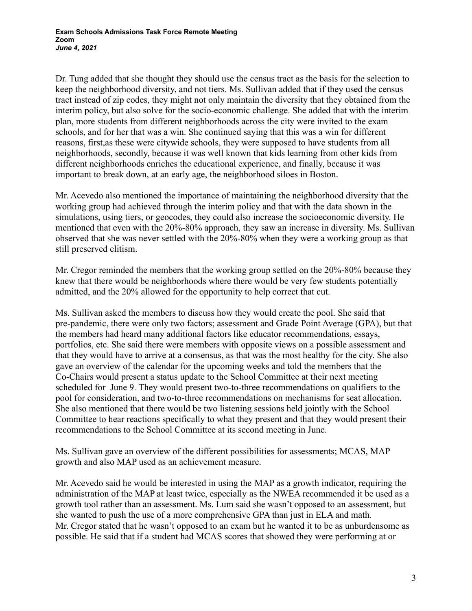Dr. Tung added that she thought they should use the census tract as the basis for the selection to keep the neighborhood diversity, and not tiers. Ms. Sullivan added that if they used the census tract instead of zip codes, they might not only maintain the diversity that they obtained from the interim policy, but also solve for the socio-economic challenge. She added that with the interim plan, more students from different neighborhoods across the city were invited to the exam schools, and for her that was a win. She continued saying that this was a win for different reasons, first,as these were citywide schools, they were supposed to have students from all neighborhoods, secondly, because it was well known that kids learning from other kids from different neighborhoods enriches the educational experience, and finally, because it was important to break down, at an early age, the neighborhood siloes in Boston.

Mr. Acevedo also mentioned the importance of maintaining the neighborhood diversity that the working group had achieved through the interim policy and that with the data shown in the simulations, using tiers, or geocodes, they could also increase the socioeconomic diversity. He mentioned that even with the 20%-80% approach, they saw an increase in diversity. Ms. Sullivan observed that she was never settled with the 20%-80% when they were a working group as that still preserved elitism.

Mr. Cregor reminded the members that the working group settled on the 20%-80% because they knew that there would be neighborhoods where there would be very few students potentially admitted, and the 20% allowed for the opportunity to help correct that cut.

Ms. Sullivan asked the members to discuss how they would create the pool. She said that pre-pandemic, there were only two factors; assessment and Grade Point Average (GPA), but that the members had heard many additional factors like educator recommendations, essays, portfolios, etc. She said there were members with opposite views on a possible assessment and that they would have to arrive at a consensus, as that was the most healthy for the city. She also gave an overview of the calendar for the upcoming weeks and told the members that the Co-Chairs would present a status update to the School Committee at their next meeting scheduled for June 9. They would present two-to-three recommendations on qualifiers to the pool for consideration, and two-to-three recommendations on mechanisms for seat allocation. She also mentioned that there would be two listening sessions held jointly with the School Committee to hear reactions specifically to what they present and that they would present their recommendations to the School Committee at its second meeting in June.

Ms. Sullivan gave an overview of the different possibilities for assessments; MCAS, MAP growth and also MAP used as an achievement measure.

Mr. Acevedo said he would be interested in using the MAP as a growth indicator, requiring the administration of the MAP at least twice, especially as the NWEA recommended it be used as a growth tool rather than an assessment. Ms. Lum said she wasn't opposed to an assessment, but she wanted to push the use of a more comprehensive GPA than just in ELA and math. Mr. Cregor stated that he wasn't opposed to an exam but he wanted it to be as unburdensome as possible. He said that if a student had MCAS scores that showed they were performing at or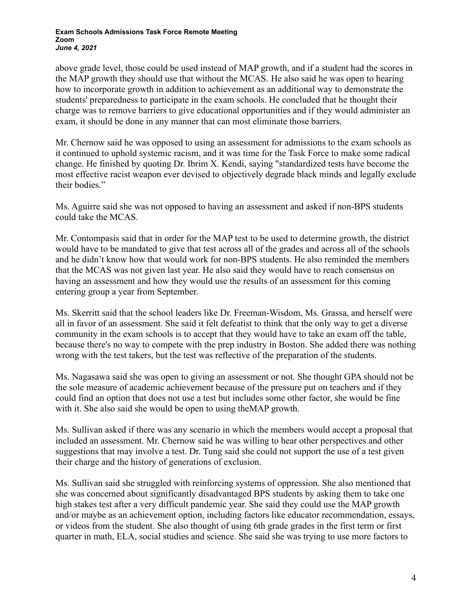above grade level, those could be used instead of MAP growth, and if a student had the scores in the MAP growth they should use that without the MCAS. He also said he was open to hearing how to incorporate growth in addition to achievement as an additional way to demonstrate the students' preparedness to participate in the exam schools. He concluded that he thought their charge was to remove barriers to give educational opportunities and if they would administer an exam, it should be done in any manner that can most eliminate those barriers.

Mr. Chernow said he was opposed to using an assessment for admissions to the exam schools as it continued to uphold systemic racism, and it was time for the Task Force to make some radical change. He finished by quoting Dr. Ibrim X. Kendi, saying "standardized tests have become the most effective racist weapon ever devised to objectively degrade black minds and legally exclude their bodies."

Ms. Aguirre said she was not opposed to having an assessment and asked if non-BPS students could take the MCAS.

Mr. Contompasis said that in order for the MAP test to be used to determine growth, the district would have to be mandated to give that test across all of the grades and across all of the schools and he didn't know how that would work for non-BPS students. He also reminded the members that the MCAS was not given last year. He also said they would have to reach consensus on having an assessment and how they would use the results of an assessment for this coming entering group a year from September.

Ms. Skerritt said that the school leaders like Dr. Freeman-Wisdom, Ms. Grassa, and herself were all in favor of an assessment. She said it felt defeatist to think that the only way to get a diverse community in the exam schools is to accept that they would have to take an exam off the table, because there's no way to compete with the prep industry in Boston. She added there was nothing wrong with the test takers, but the test was reflective of the preparation of the students.

Ms. Nagasawa said she was open to giving an assessment or not. She thought GPA should not be the sole measure of academic achievement because of the pressure put on teachers and if they could find an option that does not use a test but includes some other factor, she would be fine with it. She also said she would be open to using theMAP growth.

Ms. Sullivan asked if there was any scenario in which the members would accept a proposal that included an assessment. Mr. Chernow said he was willing to hear other perspectives and other suggestions that may involve a test. Dr. Tung said she could not support the use of a test given their charge and the history of generations of exclusion.

Ms. Sullivan said she struggled with reinforcing systems of oppression. She also mentioned that she was concerned about significantly disadvantaged BPS students by asking them to take one high stakes test after a very difficult pandemic year. She said they could use the MAP growth and/or maybe as an achievement option, including factors like educator recommendation, essays, or videos from the student. She also thought of using 6th grade grades in the first term or first quarter in math, ELA, social studies and science. She said she was trying to use more factors to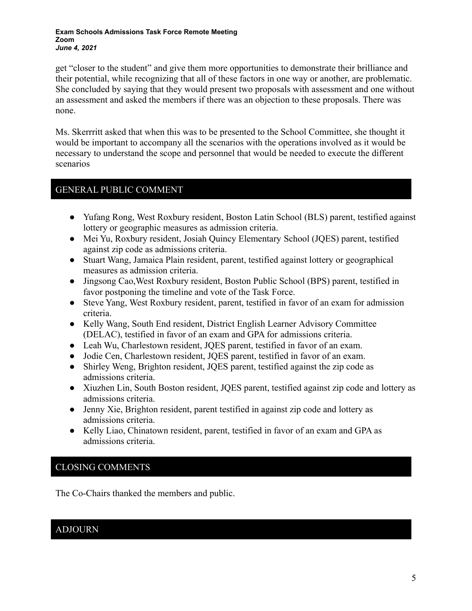get "closer to the student" and give them more opportunities to demonstrate their brilliance and their potential, while recognizing that all of these factors in one way or another, are problematic. She concluded by saying that they would present two proposals with assessment and one without an assessment and asked the members if there was an objection to these proposals. There was none.

Ms. Skerrritt asked that when this was to be presented to the School Committee, she thought it would be important to accompany all the scenarios with the operations involved as it would be necessary to understand the scope and personnel that would be needed to execute the different scenarios

### GENERAL PUBLIC COMMENT

- Yufang Rong, West Roxbury resident, Boston Latin School (BLS) parent, testified against lottery or geographic measures as admission criteria.
- Mei Yu, Roxbury resident, Josiah Quincy Elementary School (JQES) parent, testified against zip code as admissions criteria.
- Stuart Wang, Jamaica Plain resident, parent, testified against lottery or geographical measures as admission criteria.
- Jingsong Cao,West Roxbury resident, Boston Public School (BPS) parent, testified in favor postponing the timeline and vote of the Task Force.
- Steve Yang, West Roxbury resident, parent, testified in favor of an exam for admission criteria.
- Kelly Wang, South End resident, District English Learner Advisory Committee (DELAC), testified in favor of an exam and GPA for admissions criteria.
- Leah Wu, Charlestown resident, JQES parent, testified in favor of an exam.
- Jodie Cen, Charlestown resident, JQES parent, testified in favor of an exam.
- Shirley Weng, Brighton resident, JQES parent, testified against the zip code as admissions criteria.
- Xiuzhen Lin, South Boston resident, JQES parent, testified against zip code and lottery as admissions criteria.
- Jenny Xie, Brighton resident, parent testified in against zip code and lottery as admissions criteria.
- Kelly Liao, Chinatown resident, parent, testified in favor of an exam and GPA as admissions criteria.

# CLOSING COMMENTS

The Co-Chairs thanked the members and public.

# ADJOURN